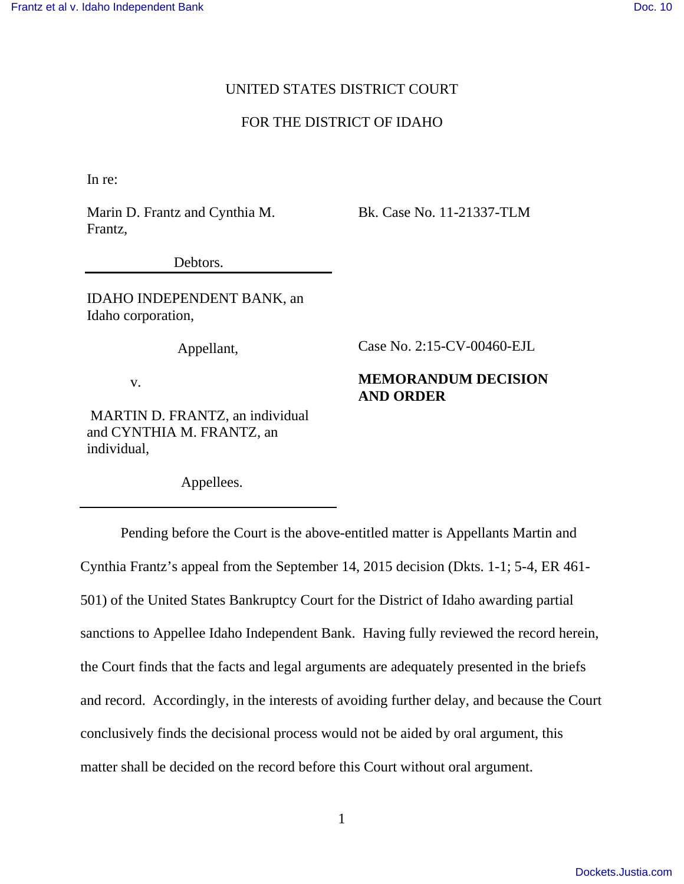# UNITED STATES DISTRICT COURT

# FOR THE DISTRICT OF IDAHO

In re:

Marin D. Frantz and Cynthia M. Frantz,

Bk. Case No. 11-21337-TLM

Case No. 2:15-CV-00460-EJL

**AND ORDER**

**MEMORANDUM DECISION** 

Debtors.

IDAHO INDEPENDENT BANK, an Idaho corporation,

Appellant,

v.

 MARTIN D. FRANTZ, an individual and CYNTHIA M. FRANTZ, an individual,

Appellees.

 Pending before the Court is the above-entitled matter is Appellants Martin and Cynthia Frantz's appeal from the September 14, 2015 decision (Dkts. 1-1; 5-4, ER 461- 501) of the United States Bankruptcy Court for the District of Idaho awarding partial sanctions to Appellee Idaho Independent Bank. Having fully reviewed the record herein, the Court finds that the facts and legal arguments are adequately presented in the briefs and record. Accordingly, in the interests of avoiding further delay, and because the Court conclusively finds the decisional process would not be aided by oral argument, this matter shall be decided on the record before this Court without oral argument.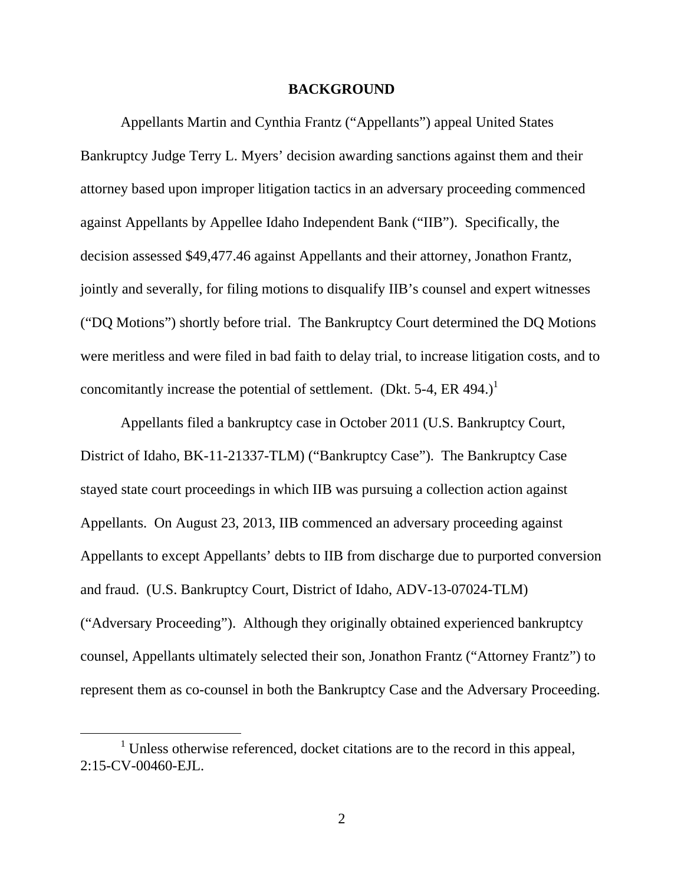#### **BACKGROUND**

 Appellants Martin and Cynthia Frantz ("Appellants") appeal United States Bankruptcy Judge Terry L. Myers' decision awarding sanctions against them and their attorney based upon improper litigation tactics in an adversary proceeding commenced against Appellants by Appellee Idaho Independent Bank ("IIB"). Specifically, the decision assessed \$49,477.46 against Appellants and their attorney, Jonathon Frantz, jointly and severally, for filing motions to disqualify IIB's counsel and expert witnesses ("DQ Motions") shortly before trial. The Bankruptcy Court determined the DQ Motions were meritless and were filed in bad faith to delay trial, to increase litigation costs, and to concomitantly increase the potential of settlement. (Dkt. 5-4, ER 494.)<sup>1</sup>

 Appellants filed a bankruptcy case in October 2011 (U.S. Bankruptcy Court, District of Idaho, BK-11-21337-TLM) ("Bankruptcy Case"). The Bankruptcy Case stayed state court proceedings in which IIB was pursuing a collection action against Appellants. On August 23, 2013, IIB commenced an adversary proceeding against Appellants to except Appellants' debts to IIB from discharge due to purported conversion and fraud. (U.S. Bankruptcy Court, District of Idaho, ADV-13-07024-TLM) ("Adversary Proceeding"). Although they originally obtained experienced bankruptcy counsel, Appellants ultimately selected their son, Jonathon Frantz ("Attorney Frantz") to represent them as co-counsel in both the Bankruptcy Case and the Adversary Proceeding.

<sup>&</sup>lt;sup>1</sup> Unless otherwise referenced, docket citations are to the record in this appeal, 2:15-CV-00460-EJL.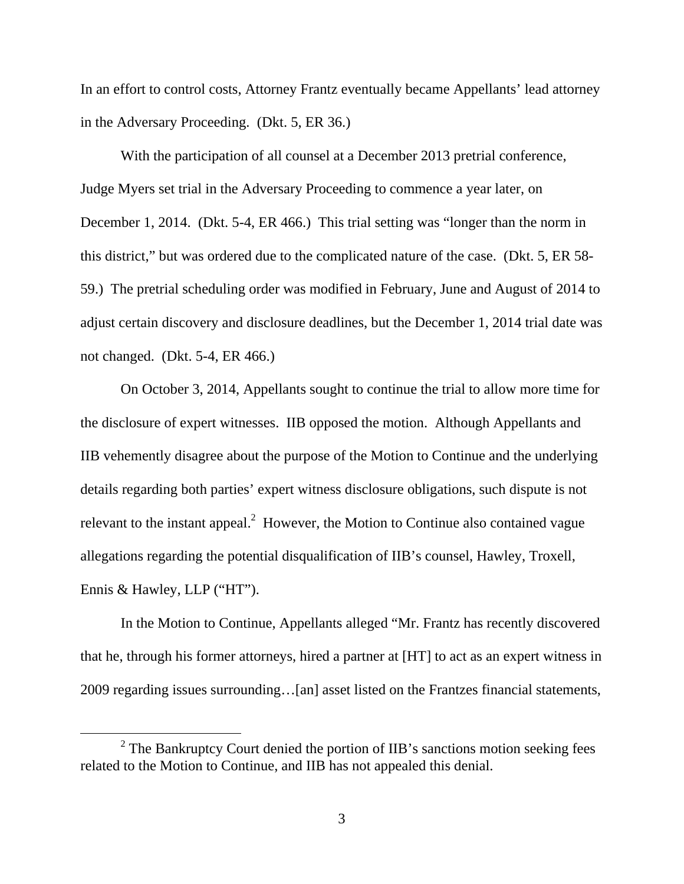In an effort to control costs, Attorney Frantz eventually became Appellants' lead attorney in the Adversary Proceeding. (Dkt. 5, ER 36.)

 With the participation of all counsel at a December 2013 pretrial conference, Judge Myers set trial in the Adversary Proceeding to commence a year later, on December 1, 2014. (Dkt. 5-4, ER 466.) This trial setting was "longer than the norm in this district," but was ordered due to the complicated nature of the case. (Dkt. 5, ER 58- 59.) The pretrial scheduling order was modified in February, June and August of 2014 to adjust certain discovery and disclosure deadlines, but the December 1, 2014 trial date was not changed. (Dkt. 5-4, ER 466.)

On October 3, 2014, Appellants sought to continue the trial to allow more time for the disclosure of expert witnesses. IIB opposed the motion. Although Appellants and IIB vehemently disagree about the purpose of the Motion to Continue and the underlying details regarding both parties' expert witness disclosure obligations, such dispute is not relevant to the instant appeal. $2$  However, the Motion to Continue also contained vague allegations regarding the potential disqualification of IIB's counsel, Hawley, Troxell, Ennis & Hawley, LLP ("HT").

In the Motion to Continue, Appellants alleged "Mr. Frantz has recently discovered that he, through his former attorneys, hired a partner at [HT] to act as an expert witness in 2009 regarding issues surrounding…[an] asset listed on the Frantzes financial statements,

 $2$  The Bankruptcy Court denied the portion of IIB's sanctions motion seeking fees related to the Motion to Continue, and IIB has not appealed this denial.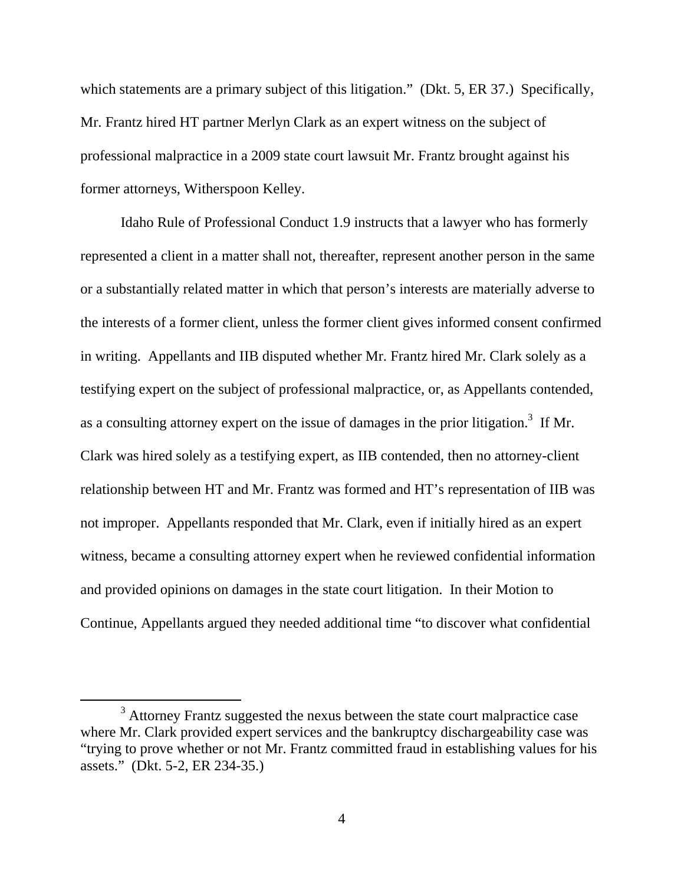which statements are a primary subject of this litigation." (Dkt. 5, ER 37.) Specifically, Mr. Frantz hired HT partner Merlyn Clark as an expert witness on the subject of professional malpractice in a 2009 state court lawsuit Mr. Frantz brought against his former attorneys, Witherspoon Kelley.

Idaho Rule of Professional Conduct 1.9 instructs that a lawyer who has formerly represented a client in a matter shall not, thereafter, represent another person in the same or a substantially related matter in which that person's interests are materially adverse to the interests of a former client, unless the former client gives informed consent confirmed in writing. Appellants and IIB disputed whether Mr. Frantz hired Mr. Clark solely as a testifying expert on the subject of professional malpractice, or, as Appellants contended, as a consulting attorney expert on the issue of damages in the prior litigation.<sup>3</sup> If Mr. Clark was hired solely as a testifying expert, as IIB contended, then no attorney-client relationship between HT and Mr. Frantz was formed and HT's representation of IIB was not improper. Appellants responded that Mr. Clark, even if initially hired as an expert witness, became a consulting attorney expert when he reviewed confidential information and provided opinions on damages in the state court litigation. In their Motion to Continue, Appellants argued they needed additional time "to discover what confidential

 $3$  Attorney Frantz suggested the nexus between the state court malpractice case where Mr. Clark provided expert services and the bankruptcy dischargeability case was "trying to prove whether or not Mr. Frantz committed fraud in establishing values for his assets." (Dkt. 5-2, ER 234-35.)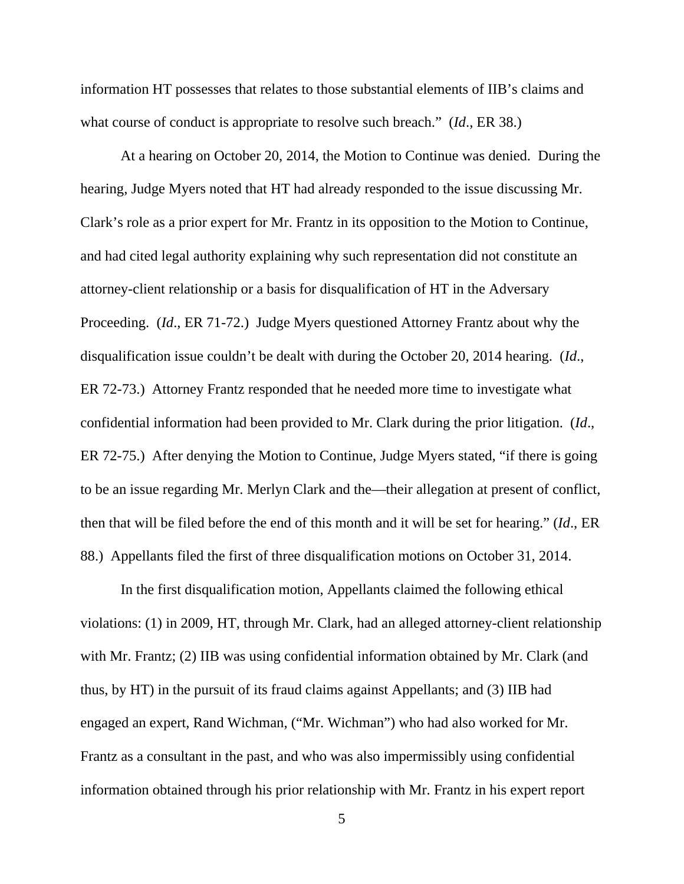information HT possesses that relates to those substantial elements of IIB's claims and what course of conduct is appropriate to resolve such breach." (*Id*., ER 38.)

 At a hearing on October 20, 2014, the Motion to Continue was denied. During the hearing, Judge Myers noted that HT had already responded to the issue discussing Mr. Clark's role as a prior expert for Mr. Frantz in its opposition to the Motion to Continue, and had cited legal authority explaining why such representation did not constitute an attorney-client relationship or a basis for disqualification of HT in the Adversary Proceeding. (*Id*., ER 71-72.) Judge Myers questioned Attorney Frantz about why the disqualification issue couldn't be dealt with during the October 20, 2014 hearing. (*Id*., ER 72-73.) Attorney Frantz responded that he needed more time to investigate what confidential information had been provided to Mr. Clark during the prior litigation. (*Id*., ER 72-75.) After denying the Motion to Continue, Judge Myers stated, "if there is going to be an issue regarding Mr. Merlyn Clark and the—their allegation at present of conflict, then that will be filed before the end of this month and it will be set for hearing." (*Id*., ER 88.) Appellants filed the first of three disqualification motions on October 31, 2014.

In the first disqualification motion, Appellants claimed the following ethical violations: (1) in 2009, HT, through Mr. Clark, had an alleged attorney-client relationship with Mr. Frantz; (2) IIB was using confidential information obtained by Mr. Clark (and thus, by HT) in the pursuit of its fraud claims against Appellants; and (3) IIB had engaged an expert, Rand Wichman, ("Mr. Wichman") who had also worked for Mr. Frantz as a consultant in the past, and who was also impermissibly using confidential information obtained through his prior relationship with Mr. Frantz in his expert report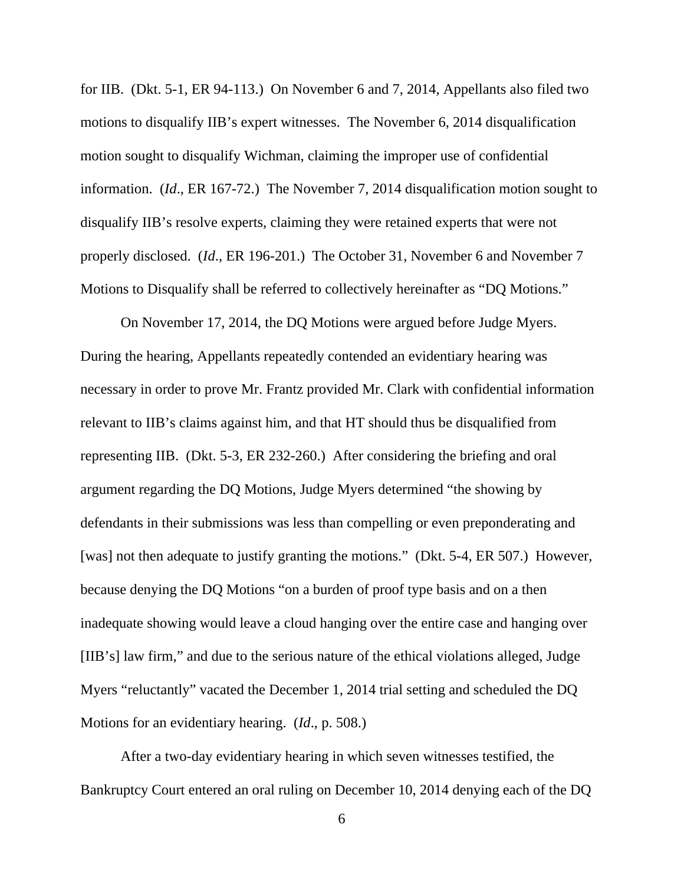for IIB. (Dkt. 5-1, ER 94-113.) On November 6 and 7, 2014, Appellants also filed two motions to disqualify IIB's expert witnesses. The November 6, 2014 disqualification motion sought to disqualify Wichman, claiming the improper use of confidential information. (*Id*., ER 167-72.) The November 7, 2014 disqualification motion sought to disqualify IIB's resolve experts, claiming they were retained experts that were not properly disclosed. (*Id*., ER 196-201.) The October 31, November 6 and November 7 Motions to Disqualify shall be referred to collectively hereinafter as "DQ Motions."

 On November 17, 2014, the DQ Motions were argued before Judge Myers. During the hearing, Appellants repeatedly contended an evidentiary hearing was necessary in order to prove Mr. Frantz provided Mr. Clark with confidential information relevant to IIB's claims against him, and that HT should thus be disqualified from representing IIB. (Dkt. 5-3, ER 232-260.) After considering the briefing and oral argument regarding the DQ Motions, Judge Myers determined "the showing by defendants in their submissions was less than compelling or even preponderating and [was] not then adequate to justify granting the motions." (Dkt. 5-4, ER 507.) However, because denying the DQ Motions "on a burden of proof type basis and on a then inadequate showing would leave a cloud hanging over the entire case and hanging over [IIB's] law firm," and due to the serious nature of the ethical violations alleged, Judge Myers "reluctantly" vacated the December 1, 2014 trial setting and scheduled the DQ Motions for an evidentiary hearing. (*Id*., p. 508.)

 After a two-day evidentiary hearing in which seven witnesses testified, the Bankruptcy Court entered an oral ruling on December 10, 2014 denying each of the DQ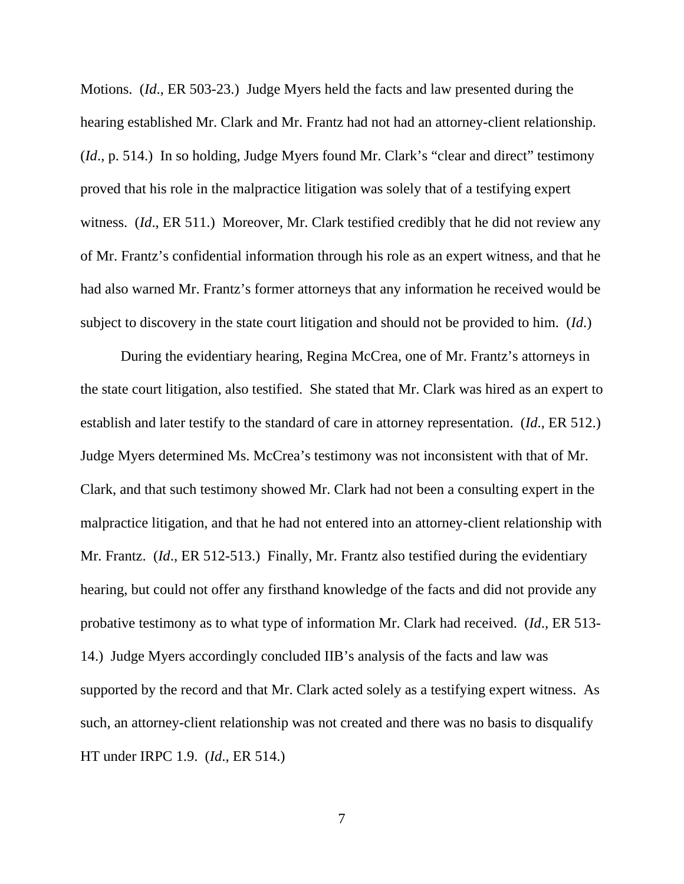Motions. (*Id*., ER 503-23.) Judge Myers held the facts and law presented during the hearing established Mr. Clark and Mr. Frantz had not had an attorney-client relationship. (*Id*., p. 514.) In so holding, Judge Myers found Mr. Clark's "clear and direct" testimony proved that his role in the malpractice litigation was solely that of a testifying expert witness. (*Id*., ER 511.) Moreover, Mr. Clark testified credibly that he did not review any of Mr. Frantz's confidential information through his role as an expert witness, and that he had also warned Mr. Frantz's former attorneys that any information he received would be subject to discovery in the state court litigation and should not be provided to him. (*Id*.)

During the evidentiary hearing, Regina McCrea, one of Mr. Frantz's attorneys in the state court litigation, also testified. She stated that Mr. Clark was hired as an expert to establish and later testify to the standard of care in attorney representation. (*Id*., ER 512.) Judge Myers determined Ms. McCrea's testimony was not inconsistent with that of Mr. Clark, and that such testimony showed Mr. Clark had not been a consulting expert in the malpractice litigation, and that he had not entered into an attorney-client relationship with Mr. Frantz. (*Id*., ER 512-513.) Finally, Mr. Frantz also testified during the evidentiary hearing, but could not offer any firsthand knowledge of the facts and did not provide any probative testimony as to what type of information Mr. Clark had received. (*Id*., ER 513- 14.) Judge Myers accordingly concluded IIB's analysis of the facts and law was supported by the record and that Mr. Clark acted solely as a testifying expert witness. As such, an attorney-client relationship was not created and there was no basis to disqualify HT under IRPC 1.9. (*Id*., ER 514.)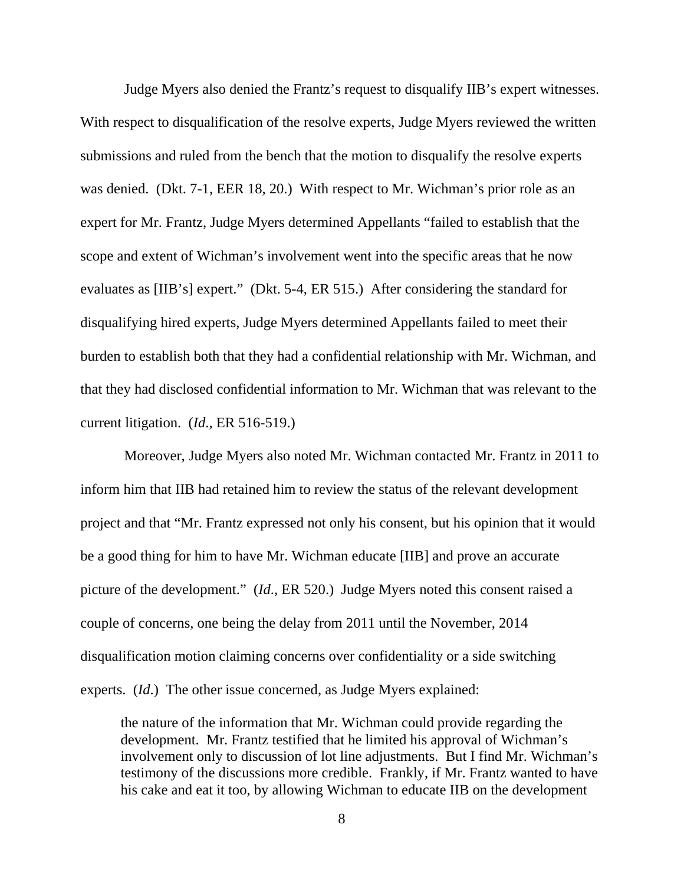Judge Myers also denied the Frantz's request to disqualify IIB's expert witnesses. With respect to disqualification of the resolve experts, Judge Myers reviewed the written submissions and ruled from the bench that the motion to disqualify the resolve experts was denied. (Dkt. 7-1, EER 18, 20.) With respect to Mr. Wichman's prior role as an expert for Mr. Frantz, Judge Myers determined Appellants "failed to establish that the scope and extent of Wichman's involvement went into the specific areas that he now evaluates as [IIB's] expert." (Dkt. 5-4, ER 515.) After considering the standard for disqualifying hired experts, Judge Myers determined Appellants failed to meet their burden to establish both that they had a confidential relationship with Mr. Wichman, and that they had disclosed confidential information to Mr. Wichman that was relevant to the current litigation. (*Id*., ER 516-519.)

 Moreover, Judge Myers also noted Mr. Wichman contacted Mr. Frantz in 2011 to inform him that IIB had retained him to review the status of the relevant development project and that "Mr. Frantz expressed not only his consent, but his opinion that it would be a good thing for him to have Mr. Wichman educate [IIB] and prove an accurate picture of the development." (*Id*., ER 520.) Judge Myers noted this consent raised a couple of concerns, one being the delay from 2011 until the November, 2014 disqualification motion claiming concerns over confidentiality or a side switching experts. (*Id*.) The other issue concerned, as Judge Myers explained:

the nature of the information that Mr. Wichman could provide regarding the development. Mr. Frantz testified that he limited his approval of Wichman's involvement only to discussion of lot line adjustments. But I find Mr. Wichman's testimony of the discussions more credible. Frankly, if Mr. Frantz wanted to have his cake and eat it too, by allowing Wichman to educate IIB on the development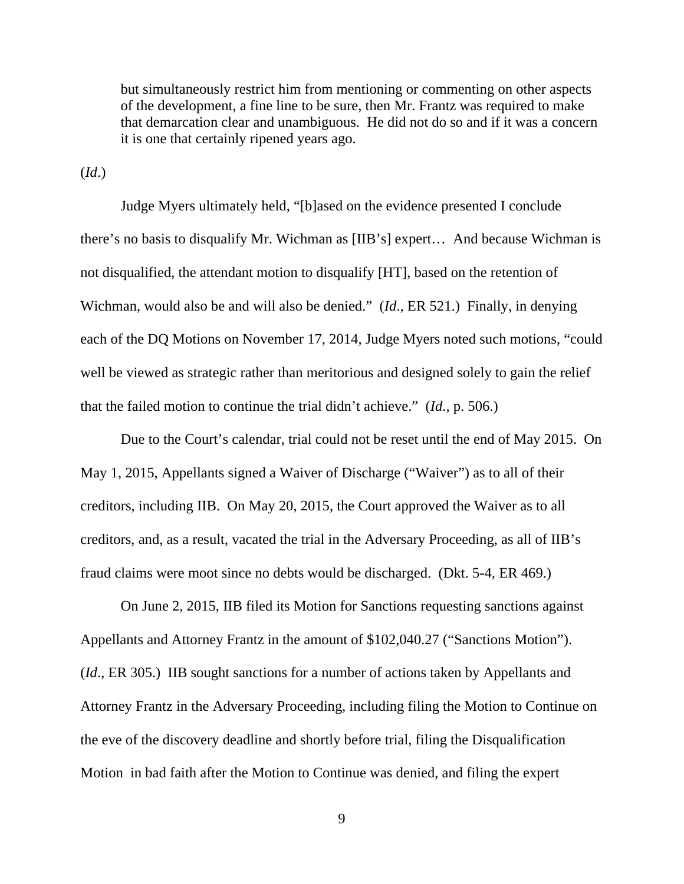but simultaneously restrict him from mentioning or commenting on other aspects of the development, a fine line to be sure, then Mr. Frantz was required to make that demarcation clear and unambiguous. He did not do so and if it was a concern it is one that certainly ripened years ago.

(*Id*.)

 Judge Myers ultimately held, "[b]ased on the evidence presented I conclude there's no basis to disqualify Mr. Wichman as [IIB's] expert… And because Wichman is not disqualified, the attendant motion to disqualify [HT], based on the retention of Wichman, would also be and will also be denied." (*Id*., ER 521.) Finally, in denying each of the DQ Motions on November 17, 2014, Judge Myers noted such motions, "could well be viewed as strategic rather than meritorious and designed solely to gain the relief that the failed motion to continue the trial didn't achieve." (*Id*., p. 506.)

Due to the Court's calendar, trial could not be reset until the end of May 2015. On May 1, 2015, Appellants signed a Waiver of Discharge ("Waiver") as to all of their creditors, including IIB. On May 20, 2015, the Court approved the Waiver as to all creditors, and, as a result, vacated the trial in the Adversary Proceeding, as all of IIB's fraud claims were moot since no debts would be discharged. (Dkt. 5-4, ER 469.)

 On June 2, 2015, IIB filed its Motion for Sanctions requesting sanctions against Appellants and Attorney Frantz in the amount of \$102,040.27 ("Sanctions Motion"). (*Id*., ER 305.) IIB sought sanctions for a number of actions taken by Appellants and Attorney Frantz in the Adversary Proceeding, including filing the Motion to Continue on the eve of the discovery deadline and shortly before trial, filing the Disqualification Motion in bad faith after the Motion to Continue was denied, and filing the expert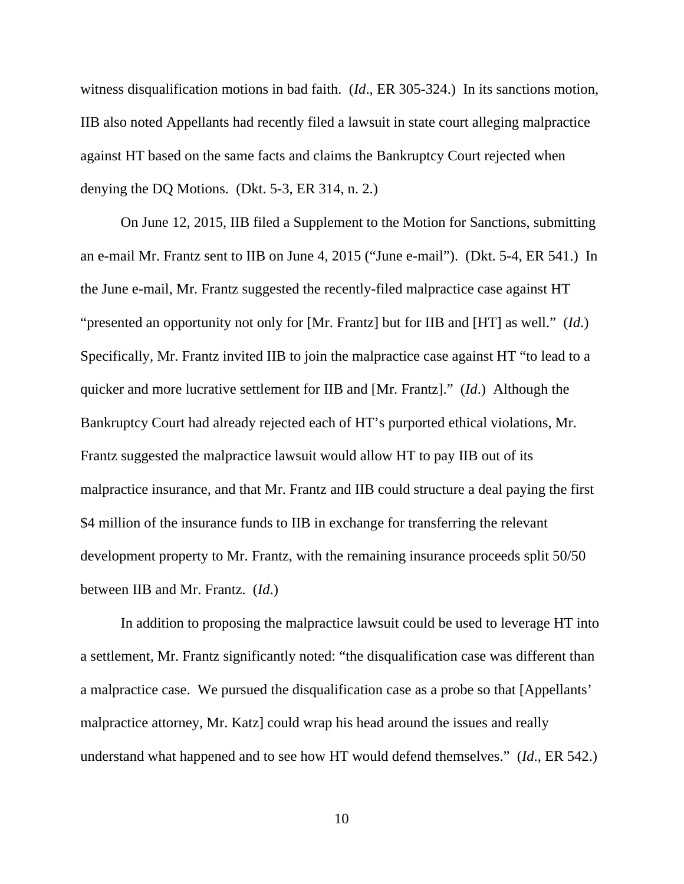witness disqualification motions in bad faith. (*Id*., ER 305-324.) In its sanctions motion, IIB also noted Appellants had recently filed a lawsuit in state court alleging malpractice against HT based on the same facts and claims the Bankruptcy Court rejected when denying the DQ Motions. (Dkt. 5-3, ER 314, n. 2.)

On June 12, 2015, IIB filed a Supplement to the Motion for Sanctions, submitting an e-mail Mr. Frantz sent to IIB on June 4, 2015 ("June e-mail"). (Dkt. 5-4, ER 541.) In the June e-mail, Mr. Frantz suggested the recently-filed malpractice case against HT "presented an opportunity not only for [Mr. Frantz] but for IIB and [HT] as well." (*Id*.) Specifically, Mr. Frantz invited IIB to join the malpractice case against HT "to lead to a quicker and more lucrative settlement for IIB and [Mr. Frantz]." (*Id*.) Although the Bankruptcy Court had already rejected each of HT's purported ethical violations, Mr. Frantz suggested the malpractice lawsuit would allow HT to pay IIB out of its malpractice insurance, and that Mr. Frantz and IIB could structure a deal paying the first \$4 million of the insurance funds to IIB in exchange for transferring the relevant development property to Mr. Frantz, with the remaining insurance proceeds split 50/50 between IIB and Mr. Frantz. (*Id*.)

 In addition to proposing the malpractice lawsuit could be used to leverage HT into a settlement, Mr. Frantz significantly noted: "the disqualification case was different than a malpractice case. We pursued the disqualification case as a probe so that [Appellants' malpractice attorney, Mr. Katz] could wrap his head around the issues and really understand what happened and to see how HT would defend themselves." (*Id*., ER 542.)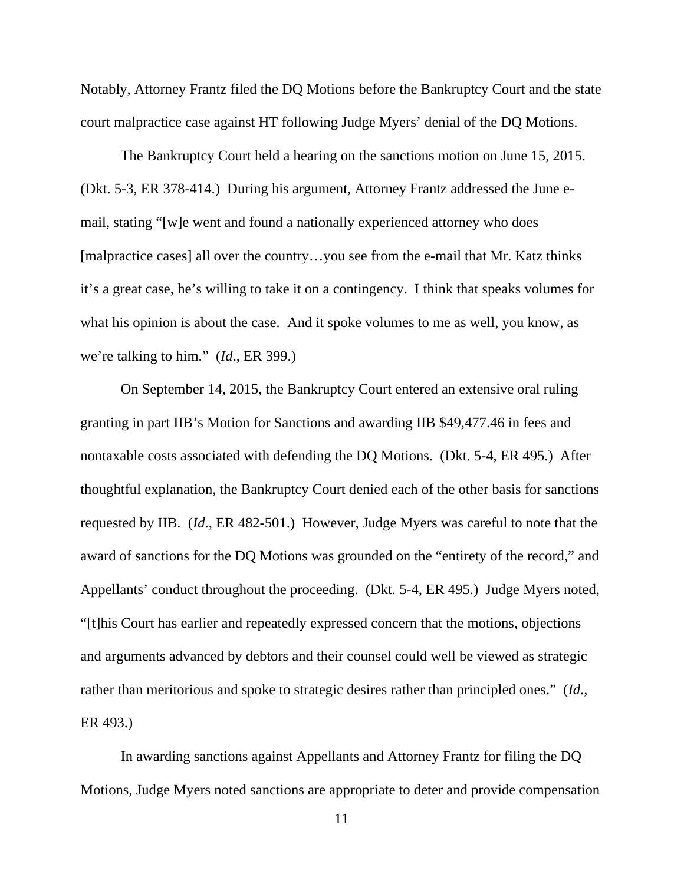Notably, Attorney Frantz filed the DQ Motions before the Bankruptcy Court and the state court malpractice case against HT following Judge Myers' denial of the DQ Motions.

 The Bankruptcy Court held a hearing on the sanctions motion on June 15, 2015. (Dkt. 5-3, ER 378-414.) During his argument, Attorney Frantz addressed the June email, stating "[w]e went and found a nationally experienced attorney who does [malpractice cases] all over the country…you see from the e-mail that Mr. Katz thinks it's a great case, he's willing to take it on a contingency. I think that speaks volumes for what his opinion is about the case. And it spoke volumes to me as well, you know, as we're talking to him." (*Id*., ER 399.)

 On September 14, 2015, the Bankruptcy Court entered an extensive oral ruling granting in part IIB's Motion for Sanctions and awarding IIB \$49,477.46 in fees and nontaxable costs associated with defending the DQ Motions. (Dkt. 5-4, ER 495.) After thoughtful explanation, the Bankruptcy Court denied each of the other basis for sanctions requested by IIB. (*Id*., ER 482-501.) However, Judge Myers was careful to note that the award of sanctions for the DQ Motions was grounded on the "entirety of the record," and Appellants' conduct throughout the proceeding. (Dkt. 5-4, ER 495.) Judge Myers noted, "[t]his Court has earlier and repeatedly expressed concern that the motions, objections and arguments advanced by debtors and their counsel could well be viewed as strategic rather than meritorious and spoke to strategic desires rather than principled ones." (*Id*., ER 493.)

In awarding sanctions against Appellants and Attorney Frantz for filing the DQ Motions, Judge Myers noted sanctions are appropriate to deter and provide compensation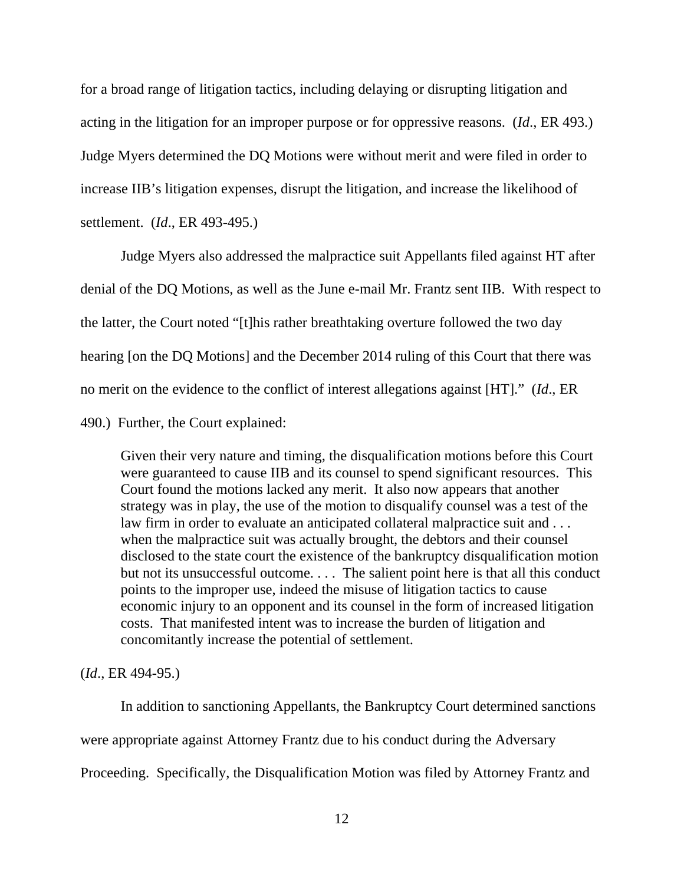for a broad range of litigation tactics, including delaying or disrupting litigation and acting in the litigation for an improper purpose or for oppressive reasons. (*Id*., ER 493.) Judge Myers determined the DQ Motions were without merit and were filed in order to increase IIB's litigation expenses, disrupt the litigation, and increase the likelihood of settlement. (*Id*., ER 493-495.)

Judge Myers also addressed the malpractice suit Appellants filed against HT after denial of the DQ Motions, as well as the June e-mail Mr. Frantz sent IIB. With respect to the latter, the Court noted "[t]his rather breathtaking overture followed the two day hearing [on the DQ Motions] and the December 2014 ruling of this Court that there was no merit on the evidence to the conflict of interest allegations against [HT]." (*Id*., ER

490.) Further, the Court explained:

Given their very nature and timing, the disqualification motions before this Court were guaranteed to cause IIB and its counsel to spend significant resources. This Court found the motions lacked any merit. It also now appears that another strategy was in play, the use of the motion to disqualify counsel was a test of the law firm in order to evaluate an anticipated collateral malpractice suit and . . . when the malpractice suit was actually brought, the debtors and their counsel disclosed to the state court the existence of the bankruptcy disqualification motion but not its unsuccessful outcome.... The salient point here is that all this conduct points to the improper use, indeed the misuse of litigation tactics to cause economic injury to an opponent and its counsel in the form of increased litigation costs. That manifested intent was to increase the burden of litigation and concomitantly increase the potential of settlement.

# (*Id*., ER 494-95.)

 In addition to sanctioning Appellants, the Bankruptcy Court determined sanctions were appropriate against Attorney Frantz due to his conduct during the Adversary Proceeding. Specifically, the Disqualification Motion was filed by Attorney Frantz and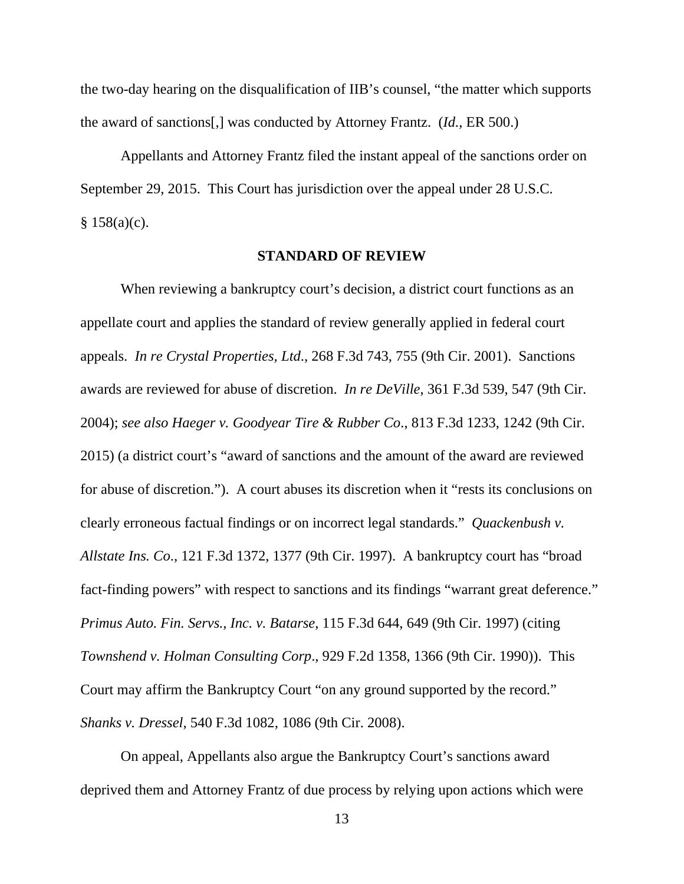the two-day hearing on the disqualification of IIB's counsel, "the matter which supports the award of sanctions[,] was conducted by Attorney Frantz. (*Id.*, ER 500.)

Appellants and Attorney Frantz filed the instant appeal of the sanctions order on September 29, 2015. This Court has jurisdiction over the appeal under 28 U.S.C.  $§ 158(a)(c).$ 

#### **STANDARD OF REVIEW**

 When reviewing a bankruptcy court's decision, a district court functions as an appellate court and applies the standard of review generally applied in federal court appeals. *In re Crystal Properties, Ltd*., 268 F.3d 743, 755 (9th Cir. 2001). Sanctions awards are reviewed for abuse of discretion. *In re DeVille*, 361 F.3d 539, 547 (9th Cir. 2004); *see also Haeger v. Goodyear Tire & Rubber Co*., 813 F.3d 1233, 1242 (9th Cir. 2015) (a district court's "award of sanctions and the amount of the award are reviewed for abuse of discretion."). A court abuses its discretion when it "rests its conclusions on clearly erroneous factual findings or on incorrect legal standards." *Quackenbush v. Allstate Ins. Co*., 121 F.3d 1372, 1377 (9th Cir. 1997). A bankruptcy court has "broad fact-finding powers" with respect to sanctions and its findings "warrant great deference." *Primus Auto. Fin. Servs., Inc. v. Batarse*, 115 F.3d 644, 649 (9th Cir. 1997) (citing *Townshend v. Holman Consulting Corp*., 929 F.2d 1358, 1366 (9th Cir. 1990)). This Court may affirm the Bankruptcy Court "on any ground supported by the record." *Shanks v. Dressel*, 540 F.3d 1082, 1086 (9th Cir. 2008).

 On appeal, Appellants also argue the Bankruptcy Court's sanctions award deprived them and Attorney Frantz of due process by relying upon actions which were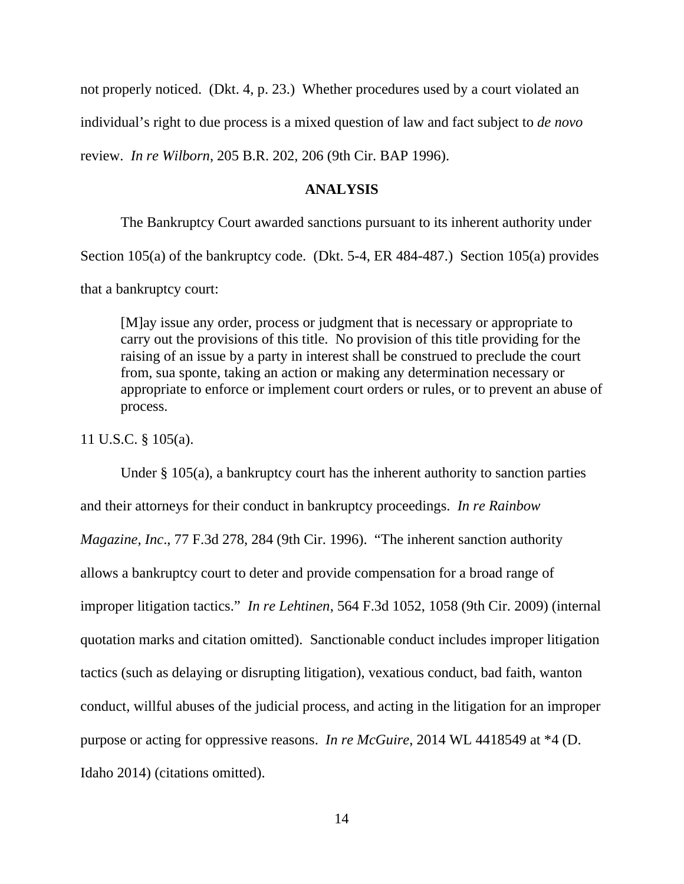not properly noticed. (Dkt. 4, p. 23.) Whether procedures used by a court violated an individual's right to due process is a mixed question of law and fact subject to *de novo* review. *In re Wilborn*, 205 B.R. 202, 206 (9th Cir. BAP 1996).

#### **ANALYSIS**

 The Bankruptcy Court awarded sanctions pursuant to its inherent authority under Section 105(a) of the bankruptcy code. (Dkt. 5-4, ER 484-487.) Section 105(a) provides that a bankruptcy court:

[M]ay issue any order, process or judgment that is necessary or appropriate to carry out the provisions of this title. No provision of this title providing for the raising of an issue by a party in interest shall be construed to preclude the court from, sua sponte, taking an action or making any determination necessary or appropriate to enforce or implement court orders or rules, or to prevent an abuse of process.

11 U.S.C. § 105(a).

Under  $\S$  105(a), a bankruptcy court has the inherent authority to sanction parties and their attorneys for their conduct in bankruptcy proceedings. *In re Rainbow Magazine, Inc*., 77 F.3d 278, 284 (9th Cir. 1996). "The inherent sanction authority allows a bankruptcy court to deter and provide compensation for a broad range of improper litigation tactics." *In re Lehtinen*, 564 F.3d 1052, 1058 (9th Cir. 2009) (internal quotation marks and citation omitted). Sanctionable conduct includes improper litigation tactics (such as delaying or disrupting litigation), vexatious conduct, bad faith, wanton conduct, willful abuses of the judicial process, and acting in the litigation for an improper purpose or acting for oppressive reasons. *In re McGuire*, 2014 WL 4418549 at \*4 (D. Idaho 2014) (citations omitted).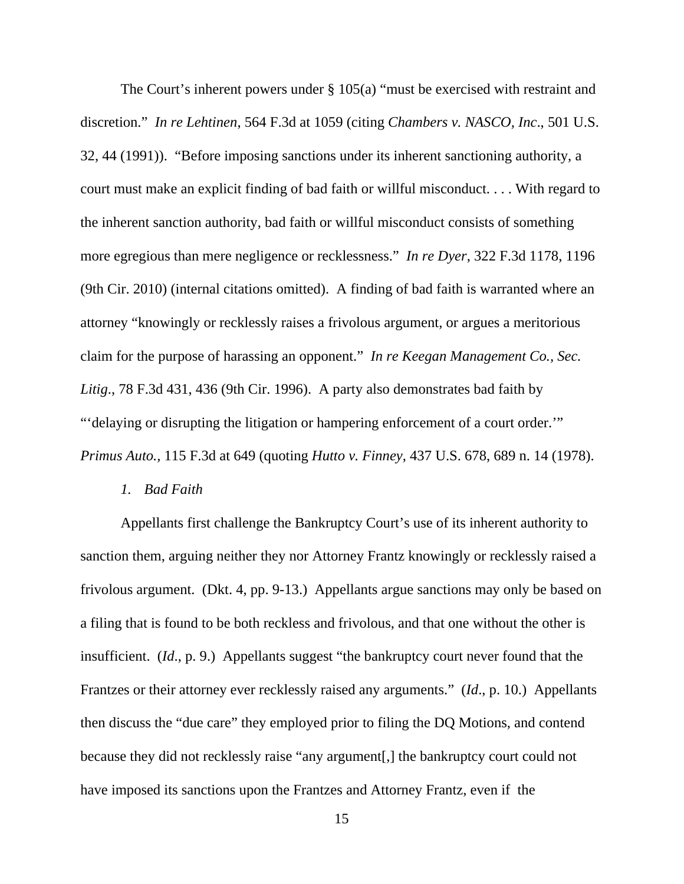The Court's inherent powers under § 105(a) "must be exercised with restraint and discretion." *In re Lehtinen*, 564 F.3d at 1059 (citing *Chambers v. NASCO, Inc*., 501 U.S. 32, 44 (1991)). "Before imposing sanctions under its inherent sanctioning authority, a court must make an explicit finding of bad faith or willful misconduct. . . . With regard to the inherent sanction authority, bad faith or willful misconduct consists of something more egregious than mere negligence or recklessness." *In re Dyer*, 322 F.3d 1178, 1196 (9th Cir. 2010) (internal citations omitted). A finding of bad faith is warranted where an attorney "knowingly or recklessly raises a frivolous argument, or argues a meritorious claim for the purpose of harassing an opponent." *In re Keegan Management Co., Sec. Litig*., 78 F.3d 431, 436 (9th Cir. 1996). A party also demonstrates bad faith by "'delaying or disrupting the litigation or hampering enforcement of a court order.'" *Primus Auto.,* 115 F.3d at 649 (quoting *Hutto v. Finney*, 437 U.S. 678, 689 n. 14 (1978).

# *1. Bad Faith*

Appellants first challenge the Bankruptcy Court's use of its inherent authority to sanction them, arguing neither they nor Attorney Frantz knowingly or recklessly raised a frivolous argument. (Dkt. 4, pp. 9-13.) Appellants argue sanctions may only be based on a filing that is found to be both reckless and frivolous, and that one without the other is insufficient. (*Id.*, p. 9.) Appellants suggest "the bankruptcy court never found that the Frantzes or their attorney ever recklessly raised any arguments." (*Id*., p. 10.) Appellants then discuss the "due care" they employed prior to filing the DQ Motions, and contend because they did not recklessly raise "any argument[,] the bankruptcy court could not have imposed its sanctions upon the Frantzes and Attorney Frantz, even if the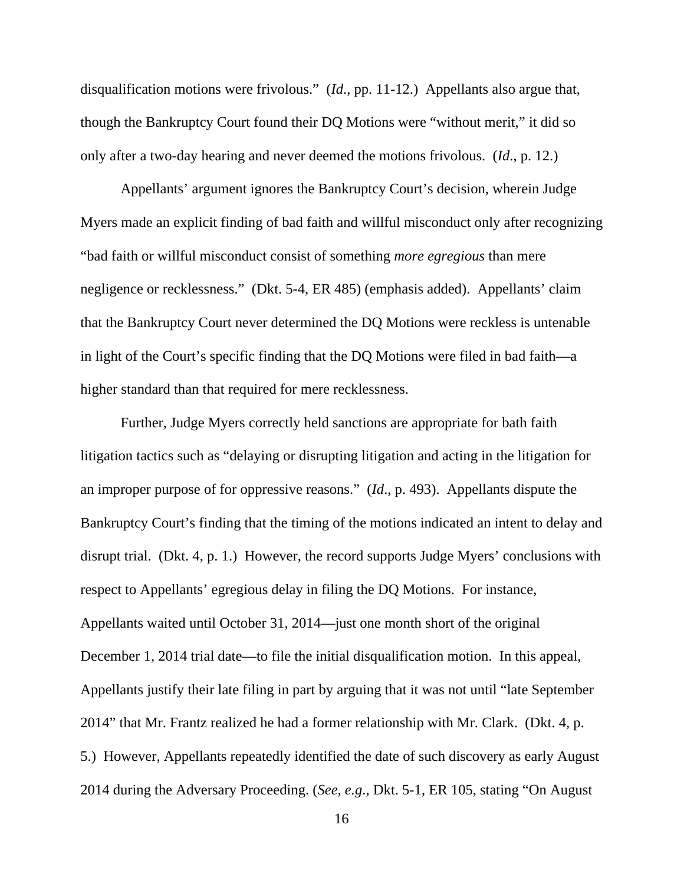disqualification motions were frivolous." (*Id*., pp. 11-12.) Appellants also argue that, though the Bankruptcy Court found their DQ Motions were "without merit," it did so only after a two-day hearing and never deemed the motions frivolous. (*Id*., p. 12.)

Appellants' argument ignores the Bankruptcy Court's decision, wherein Judge Myers made an explicit finding of bad faith and willful misconduct only after recognizing "bad faith or willful misconduct consist of something *more egregious* than mere negligence or recklessness." (Dkt. 5-4, ER 485) (emphasis added). Appellants' claim that the Bankruptcy Court never determined the DQ Motions were reckless is untenable in light of the Court's specific finding that the DQ Motions were filed in bad faith—a higher standard than that required for mere recklessness.

Further, Judge Myers correctly held sanctions are appropriate for bath faith litigation tactics such as "delaying or disrupting litigation and acting in the litigation for an improper purpose of for oppressive reasons." (*Id*., p. 493). Appellants dispute the Bankruptcy Court's finding that the timing of the motions indicated an intent to delay and disrupt trial. (Dkt. 4, p. 1.) However, the record supports Judge Myers' conclusions with respect to Appellants' egregious delay in filing the DQ Motions. For instance, Appellants waited until October 31, 2014—just one month short of the original December 1, 2014 trial date—to file the initial disqualification motion. In this appeal, Appellants justify their late filing in part by arguing that it was not until "late September 2014" that Mr. Frantz realized he had a former relationship with Mr. Clark. (Dkt. 4, p. 5.) However, Appellants repeatedly identified the date of such discovery as early August 2014 during the Adversary Proceeding. (*See, e.g*., Dkt. 5-1, ER 105, stating "On August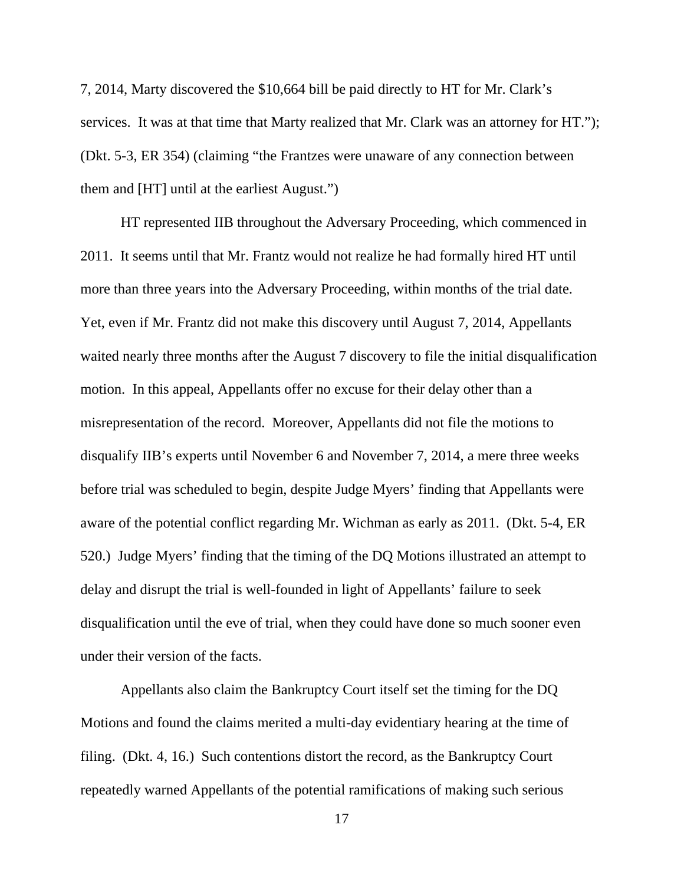7, 2014, Marty discovered the \$10,664 bill be paid directly to HT for Mr. Clark's services. It was at that time that Marty realized that Mr. Clark was an attorney for HT."); (Dkt. 5-3, ER 354) (claiming "the Frantzes were unaware of any connection between them and [HT] until at the earliest August.")

HT represented IIB throughout the Adversary Proceeding, which commenced in 2011. It seems until that Mr. Frantz would not realize he had formally hired HT until more than three years into the Adversary Proceeding, within months of the trial date. Yet, even if Mr. Frantz did not make this discovery until August 7, 2014, Appellants waited nearly three months after the August 7 discovery to file the initial disqualification motion. In this appeal, Appellants offer no excuse for their delay other than a misrepresentation of the record. Moreover, Appellants did not file the motions to disqualify IIB's experts until November 6 and November 7, 2014, a mere three weeks before trial was scheduled to begin, despite Judge Myers' finding that Appellants were aware of the potential conflict regarding Mr. Wichman as early as 2011. (Dkt. 5-4, ER 520.) Judge Myers' finding that the timing of the DQ Motions illustrated an attempt to delay and disrupt the trial is well-founded in light of Appellants' failure to seek disqualification until the eve of trial, when they could have done so much sooner even under their version of the facts.

Appellants also claim the Bankruptcy Court itself set the timing for the DQ Motions and found the claims merited a multi-day evidentiary hearing at the time of filing. (Dkt. 4, 16.) Such contentions distort the record, as the Bankruptcy Court repeatedly warned Appellants of the potential ramifications of making such serious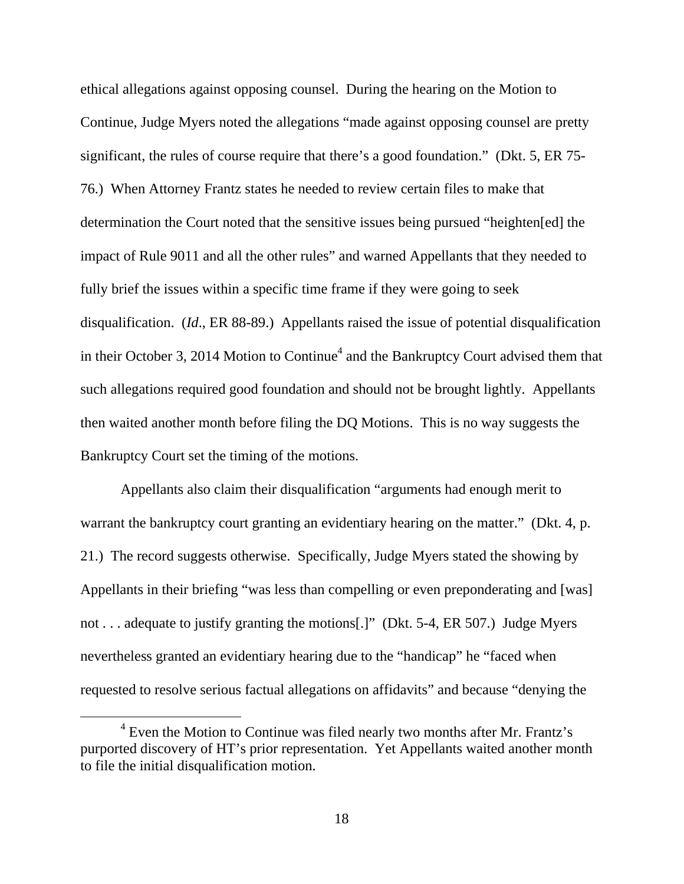ethical allegations against opposing counsel. During the hearing on the Motion to Continue, Judge Myers noted the allegations "made against opposing counsel are pretty significant, the rules of course require that there's a good foundation." (Dkt. 5, ER 75- 76.) When Attorney Frantz states he needed to review certain files to make that determination the Court noted that the sensitive issues being pursued "heighten[ed] the impact of Rule 9011 and all the other rules" and warned Appellants that they needed to fully brief the issues within a specific time frame if they were going to seek disqualification. (*Id*., ER 88-89.) Appellants raised the issue of potential disqualification in their October 3, 2014 Motion to Continue<sup>4</sup> and the Bankruptcy Court advised them that such allegations required good foundation and should not be brought lightly. Appellants then waited another month before filing the DQ Motions. This is no way suggests the Bankruptcy Court set the timing of the motions.

Appellants also claim their disqualification "arguments had enough merit to warrant the bankruptcy court granting an evidentiary hearing on the matter." (Dkt. 4, p. 21.) The record suggests otherwise. Specifically, Judge Myers stated the showing by Appellants in their briefing "was less than compelling or even preponderating and [was] not . . . adequate to justify granting the motions[.]" (Dkt. 5-4, ER 507.) Judge Myers nevertheless granted an evidentiary hearing due to the "handicap" he "faced when requested to resolve serious factual allegations on affidavits" and because "denying the

<sup>&</sup>lt;sup>4</sup> Even the Motion to Continue was filed nearly two months after Mr. Frantz's purported discovery of HT's prior representation. Yet Appellants waited another month to file the initial disqualification motion.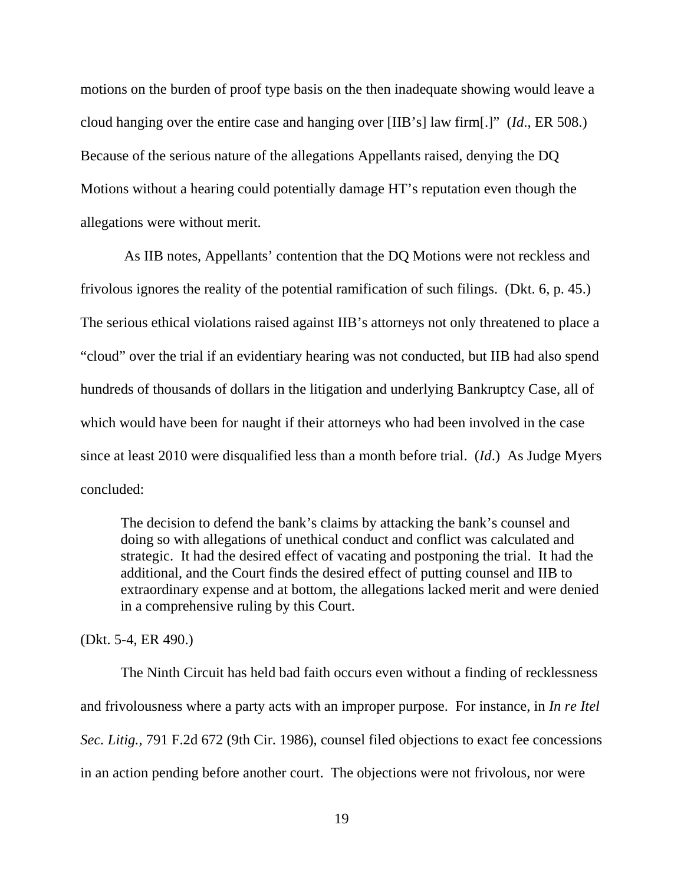motions on the burden of proof type basis on the then inadequate showing would leave a cloud hanging over the entire case and hanging over [IIB's] law firm[.]" (*Id*., ER 508.) Because of the serious nature of the allegations Appellants raised, denying the DQ Motions without a hearing could potentially damage HT's reputation even though the allegations were without merit.

 As IIB notes, Appellants' contention that the DQ Motions were not reckless and frivolous ignores the reality of the potential ramification of such filings. (Dkt. 6, p. 45.) The serious ethical violations raised against IIB's attorneys not only threatened to place a "cloud" over the trial if an evidentiary hearing was not conducted, but IIB had also spend hundreds of thousands of dollars in the litigation and underlying Bankruptcy Case, all of which would have been for naught if their attorneys who had been involved in the case since at least 2010 were disqualified less than a month before trial. (*Id*.) As Judge Myers concluded:

The decision to defend the bank's claims by attacking the bank's counsel and doing so with allegations of unethical conduct and conflict was calculated and strategic. It had the desired effect of vacating and postponing the trial. It had the additional, and the Court finds the desired effect of putting counsel and IIB to extraordinary expense and at bottom, the allegations lacked merit and were denied in a comprehensive ruling by this Court.

(Dkt. 5-4, ER 490.)

The Ninth Circuit has held bad faith occurs even without a finding of recklessness and frivolousness where a party acts with an improper purpose. For instance, in *In re Itel Sec. Litig.*, 791 F.2d 672 (9th Cir. 1986), counsel filed objections to exact fee concessions in an action pending before another court. The objections were not frivolous, nor were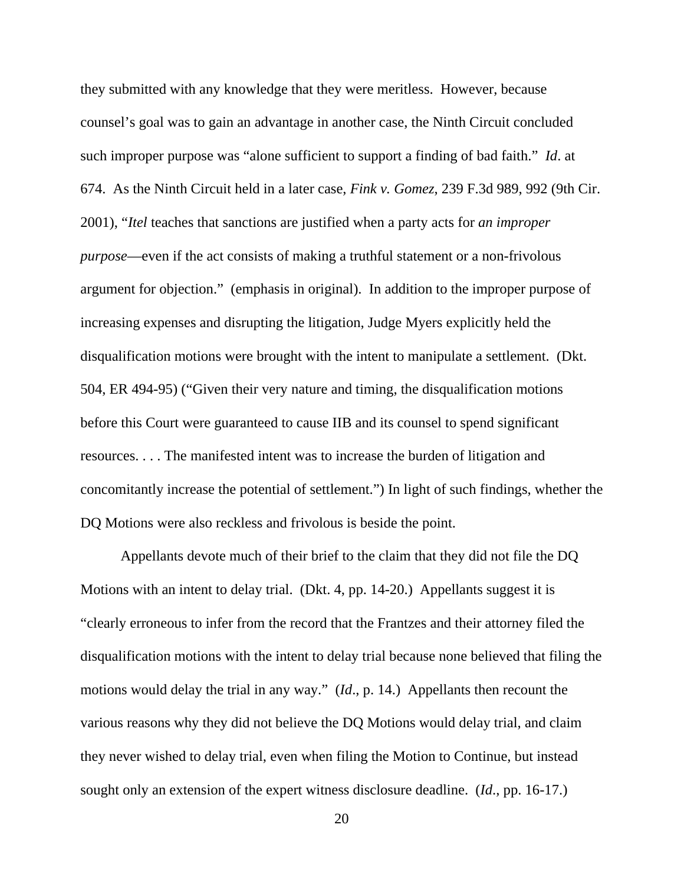they submitted with any knowledge that they were meritless. However, because counsel's goal was to gain an advantage in another case, the Ninth Circuit concluded such improper purpose was "alone sufficient to support a finding of bad faith." *Id*. at 674. As the Ninth Circuit held in a later case, *Fink v. Gomez*, 239 F.3d 989, 992 (9th Cir. 2001), "*Itel* teaches that sanctions are justified when a party acts for *an improper purpose*—even if the act consists of making a truthful statement or a non-frivolous argument for objection." (emphasis in original). In addition to the improper purpose of increasing expenses and disrupting the litigation, Judge Myers explicitly held the disqualification motions were brought with the intent to manipulate a settlement. (Dkt. 504, ER 494-95) ("Given their very nature and timing, the disqualification motions before this Court were guaranteed to cause IIB and its counsel to spend significant resources. . . . The manifested intent was to increase the burden of litigation and concomitantly increase the potential of settlement.") In light of such findings, whether the DQ Motions were also reckless and frivolous is beside the point.

Appellants devote much of their brief to the claim that they did not file the DQ Motions with an intent to delay trial. (Dkt. 4, pp. 14-20.) Appellants suggest it is "clearly erroneous to infer from the record that the Frantzes and their attorney filed the disqualification motions with the intent to delay trial because none believed that filing the motions would delay the trial in any way." (*Id*., p. 14.) Appellants then recount the various reasons why they did not believe the DQ Motions would delay trial, and claim they never wished to delay trial, even when filing the Motion to Continue, but instead sought only an extension of the expert witness disclosure deadline. (*Id*., pp. 16-17.)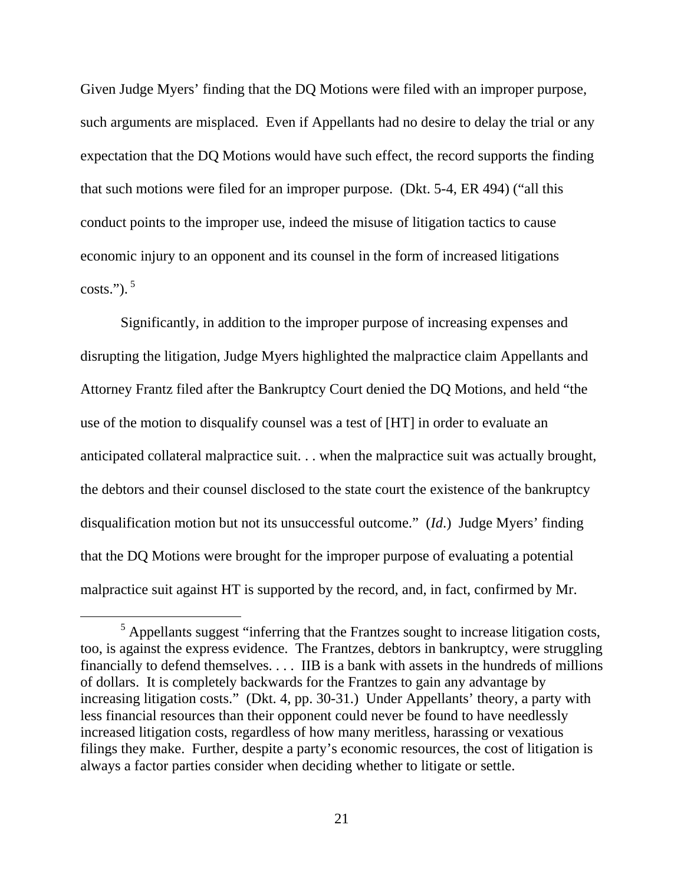Given Judge Myers' finding that the DQ Motions were filed with an improper purpose, such arguments are misplaced. Even if Appellants had no desire to delay the trial or any expectation that the DQ Motions would have such effect, the record supports the finding that such motions were filed for an improper purpose. (Dkt. 5-4, ER 494) ("all this conduct points to the improper use, indeed the misuse of litigation tactics to cause economic injury to an opponent and its counsel in the form of increased litigations  $costs."$ ).<sup>5</sup>

Significantly, in addition to the improper purpose of increasing expenses and disrupting the litigation, Judge Myers highlighted the malpractice claim Appellants and Attorney Frantz filed after the Bankruptcy Court denied the DQ Motions, and held "the use of the motion to disqualify counsel was a test of [HT] in order to evaluate an anticipated collateral malpractice suit. . . when the malpractice suit was actually brought, the debtors and their counsel disclosed to the state court the existence of the bankruptcy disqualification motion but not its unsuccessful outcome." (*Id*.) Judge Myers' finding that the DQ Motions were brought for the improper purpose of evaluating a potential malpractice suit against HT is supported by the record, and, in fact, confirmed by Mr.

 $<sup>5</sup>$  Appellants suggest "inferring that the Frantzes sought to increase litigation costs,</sup> too, is against the express evidence. The Frantzes, debtors in bankruptcy, were struggling financially to defend themselves. . . . IIB is a bank with assets in the hundreds of millions of dollars. It is completely backwards for the Frantzes to gain any advantage by increasing litigation costs." (Dkt. 4, pp. 30-31.) Under Appellants' theory, a party with less financial resources than their opponent could never be found to have needlessly increased litigation costs, regardless of how many meritless, harassing or vexatious filings they make. Further, despite a party's economic resources, the cost of litigation is always a factor parties consider when deciding whether to litigate or settle.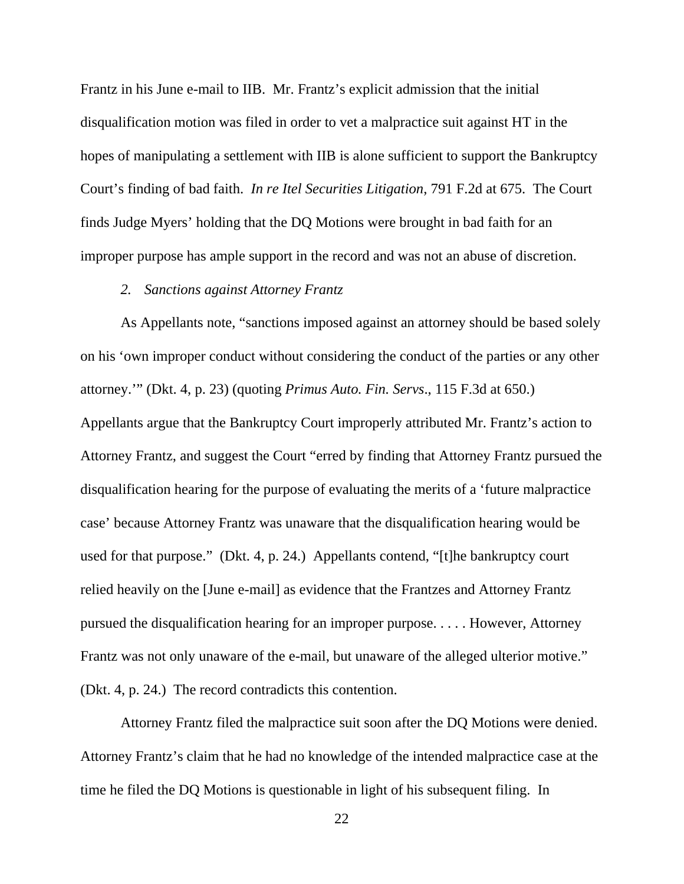Frantz in his June e-mail to IIB. Mr. Frantz's explicit admission that the initial disqualification motion was filed in order to vet a malpractice suit against HT in the hopes of manipulating a settlement with IIB is alone sufficient to support the Bankruptcy Court's finding of bad faith. *In re Itel Securities Litigation*, 791 F.2d at 675. The Court finds Judge Myers' holding that the DQ Motions were brought in bad faith for an improper purpose has ample support in the record and was not an abuse of discretion.

# *2. Sanctions against Attorney Frantz*

As Appellants note, "sanctions imposed against an attorney should be based solely on his 'own improper conduct without considering the conduct of the parties or any other attorney.'" (Dkt. 4, p. 23) (quoting *Primus Auto. Fin. Servs*., 115 F.3d at 650.) Appellants argue that the Bankruptcy Court improperly attributed Mr. Frantz's action to Attorney Frantz, and suggest the Court "erred by finding that Attorney Frantz pursued the disqualification hearing for the purpose of evaluating the merits of a 'future malpractice case' because Attorney Frantz was unaware that the disqualification hearing would be used for that purpose." (Dkt. 4, p. 24.) Appellants contend, "[t]he bankruptcy court relied heavily on the [June e-mail] as evidence that the Frantzes and Attorney Frantz pursued the disqualification hearing for an improper purpose. . . . . However, Attorney Frantz was not only unaware of the e-mail, but unaware of the alleged ulterior motive." (Dkt. 4, p. 24.) The record contradicts this contention.

Attorney Frantz filed the malpractice suit soon after the DQ Motions were denied. Attorney Frantz's claim that he had no knowledge of the intended malpractice case at the time he filed the DQ Motions is questionable in light of his subsequent filing. In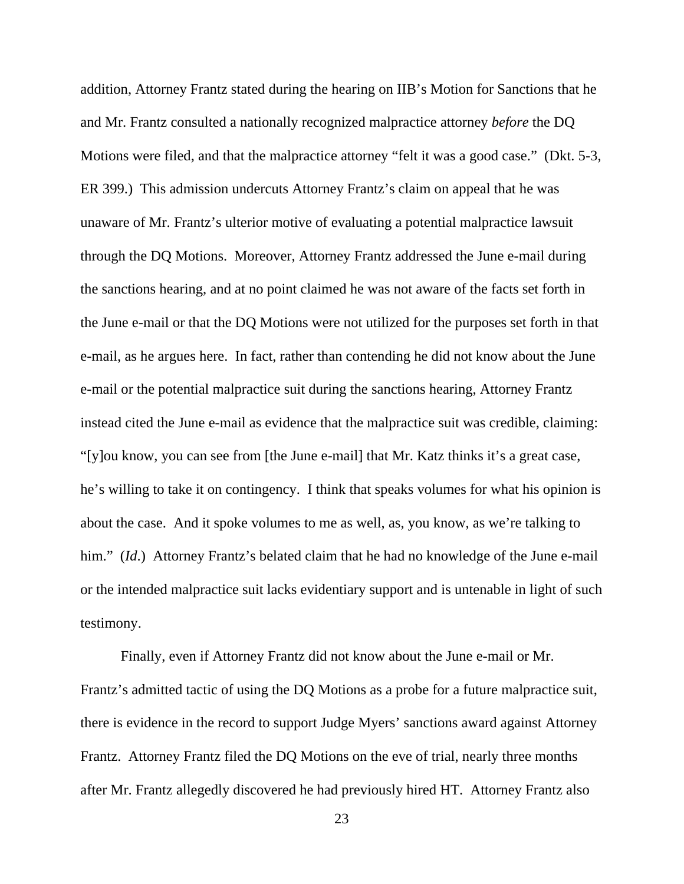addition, Attorney Frantz stated during the hearing on IIB's Motion for Sanctions that he and Mr. Frantz consulted a nationally recognized malpractice attorney *before* the DQ Motions were filed, and that the malpractice attorney "felt it was a good case." (Dkt. 5-3, ER 399.) This admission undercuts Attorney Frantz's claim on appeal that he was unaware of Mr. Frantz's ulterior motive of evaluating a potential malpractice lawsuit through the DQ Motions. Moreover, Attorney Frantz addressed the June e-mail during the sanctions hearing, and at no point claimed he was not aware of the facts set forth in the June e-mail or that the DQ Motions were not utilized for the purposes set forth in that e-mail, as he argues here. In fact, rather than contending he did not know about the June e-mail or the potential malpractice suit during the sanctions hearing, Attorney Frantz instead cited the June e-mail as evidence that the malpractice suit was credible, claiming: "[y]ou know, you can see from [the June e-mail] that Mr. Katz thinks it's a great case, he's willing to take it on contingency. I think that speaks volumes for what his opinion is about the case. And it spoke volumes to me as well, as, you know, as we're talking to him." *(Id.)* Attorney Frantz's belated claim that he had no knowledge of the June e-mail or the intended malpractice suit lacks evidentiary support and is untenable in light of such testimony.

Finally, even if Attorney Frantz did not know about the June e-mail or Mr. Frantz's admitted tactic of using the DQ Motions as a probe for a future malpractice suit, there is evidence in the record to support Judge Myers' sanctions award against Attorney Frantz. Attorney Frantz filed the DQ Motions on the eve of trial, nearly three months after Mr. Frantz allegedly discovered he had previously hired HT. Attorney Frantz also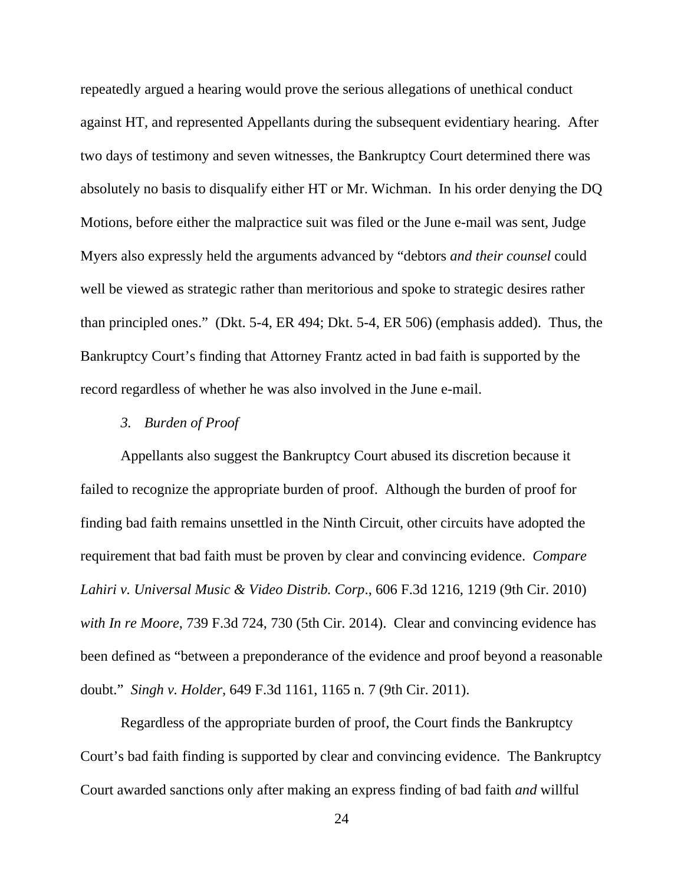repeatedly argued a hearing would prove the serious allegations of unethical conduct against HT, and represented Appellants during the subsequent evidentiary hearing. After two days of testimony and seven witnesses, the Bankruptcy Court determined there was absolutely no basis to disqualify either HT or Mr. Wichman. In his order denying the DQ Motions, before either the malpractice suit was filed or the June e-mail was sent, Judge Myers also expressly held the arguments advanced by "debtors *and their counsel* could well be viewed as strategic rather than meritorious and spoke to strategic desires rather than principled ones." (Dkt. 5-4, ER 494; Dkt. 5-4, ER 506) (emphasis added). Thus, the Bankruptcy Court's finding that Attorney Frantz acted in bad faith is supported by the record regardless of whether he was also involved in the June e-mail.

# *3. Burden of Proof*

Appellants also suggest the Bankruptcy Court abused its discretion because it failed to recognize the appropriate burden of proof. Although the burden of proof for finding bad faith remains unsettled in the Ninth Circuit, other circuits have adopted the requirement that bad faith must be proven by clear and convincing evidence. *Compare Lahiri v. Universal Music & Video Distrib. Corp*., 606 F.3d 1216, 1219 (9th Cir. 2010) *with In re Moore*, 739 F.3d 724, 730 (5th Cir. 2014). Clear and convincing evidence has been defined as "between a preponderance of the evidence and proof beyond a reasonable doubt." *Singh v. Holder*, 649 F.3d 1161, 1165 n. 7 (9th Cir. 2011).

Regardless of the appropriate burden of proof, the Court finds the Bankruptcy Court's bad faith finding is supported by clear and convincing evidence. The Bankruptcy Court awarded sanctions only after making an express finding of bad faith *and* willful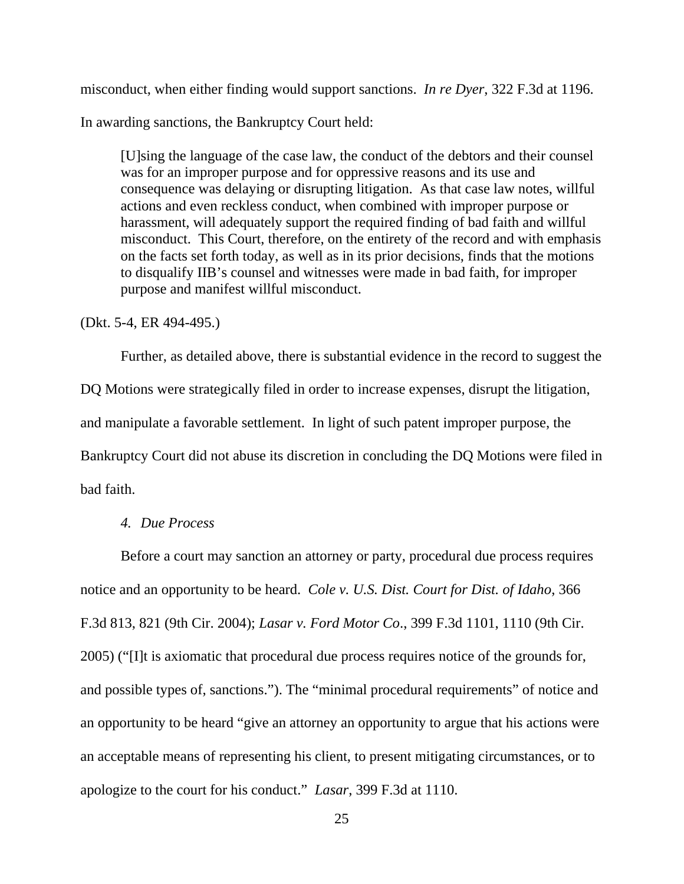misconduct, when either finding would support sanctions. *In re Dyer*, 322 F.3d at 1196.

In awarding sanctions, the Bankruptcy Court held:

[U]sing the language of the case law, the conduct of the debtors and their counsel was for an improper purpose and for oppressive reasons and its use and consequence was delaying or disrupting litigation. As that case law notes, willful actions and even reckless conduct, when combined with improper purpose or harassment, will adequately support the required finding of bad faith and willful misconduct. This Court, therefore, on the entirety of the record and with emphasis on the facts set forth today, as well as in its prior decisions, finds that the motions to disqualify IIB's counsel and witnesses were made in bad faith, for improper purpose and manifest willful misconduct.

(Dkt. 5-4, ER 494-495.)

Further, as detailed above, there is substantial evidence in the record to suggest the DQ Motions were strategically filed in order to increase expenses, disrupt the litigation, and manipulate a favorable settlement. In light of such patent improper purpose, the Bankruptcy Court did not abuse its discretion in concluding the DQ Motions were filed in bad faith.

# *4. Due Process*

Before a court may sanction an attorney or party, procedural due process requires notice and an opportunity to be heard. *Cole v. U.S. Dist. Court for Dist. of Idaho*, 366 F.3d 813, 821 (9th Cir. 2004); *Lasar v. Ford Motor Co*., 399 F.3d 1101, 1110 (9th Cir. 2005) ("[I]t is axiomatic that procedural due process requires notice of the grounds for, and possible types of, sanctions."). The "minimal procedural requirements" of notice and an opportunity to be heard "give an attorney an opportunity to argue that his actions were an acceptable means of representing his client, to present mitigating circumstances, or to apologize to the court for his conduct." *Lasar*, 399 F.3d at 1110.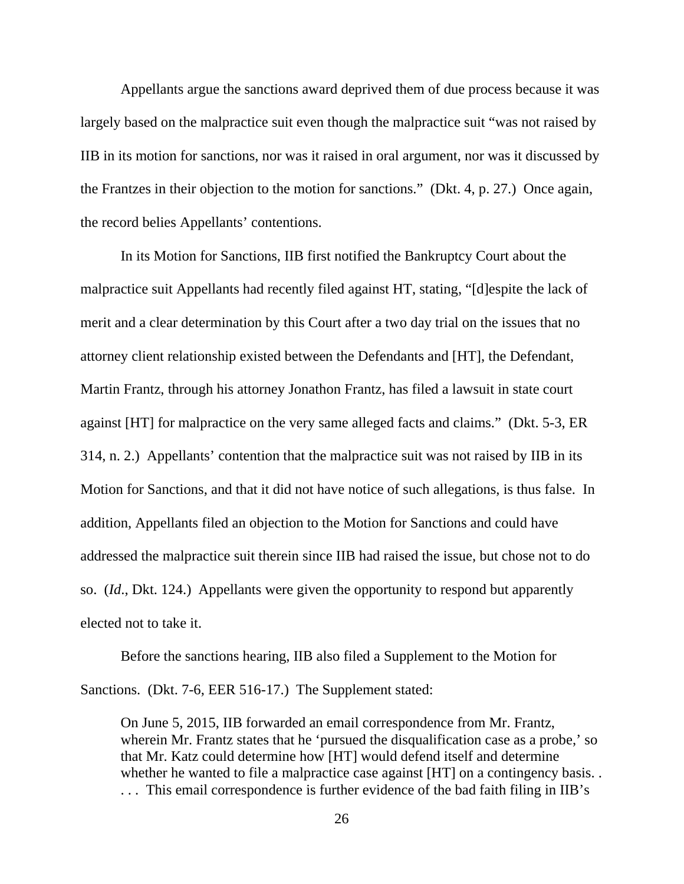Appellants argue the sanctions award deprived them of due process because it was largely based on the malpractice suit even though the malpractice suit "was not raised by IIB in its motion for sanctions, nor was it raised in oral argument, nor was it discussed by the Frantzes in their objection to the motion for sanctions." (Dkt. 4, p. 27.) Once again, the record belies Appellants' contentions.

In its Motion for Sanctions, IIB first notified the Bankruptcy Court about the malpractice suit Appellants had recently filed against HT, stating, "[d]espite the lack of merit and a clear determination by this Court after a two day trial on the issues that no attorney client relationship existed between the Defendants and [HT], the Defendant, Martin Frantz, through his attorney Jonathon Frantz, has filed a lawsuit in state court against [HT] for malpractice on the very same alleged facts and claims." (Dkt. 5-3, ER 314, n. 2.) Appellants' contention that the malpractice suit was not raised by IIB in its Motion for Sanctions, and that it did not have notice of such allegations, is thus false. In addition, Appellants filed an objection to the Motion for Sanctions and could have addressed the malpractice suit therein since IIB had raised the issue, but chose not to do so. (*Id*., Dkt. 124.) Appellants were given the opportunity to respond but apparently elected not to take it.

Before the sanctions hearing, IIB also filed a Supplement to the Motion for Sanctions. (Dkt. 7-6, EER 516-17.) The Supplement stated:

On June 5, 2015, IIB forwarded an email correspondence from Mr. Frantz, wherein Mr. Frantz states that he 'pursued the disqualification case as a probe,' so that Mr. Katz could determine how [HT] would defend itself and determine whether he wanted to file a malpractice case against [HT] on a contingency basis. . . . . This email correspondence is further evidence of the bad faith filing in IIB's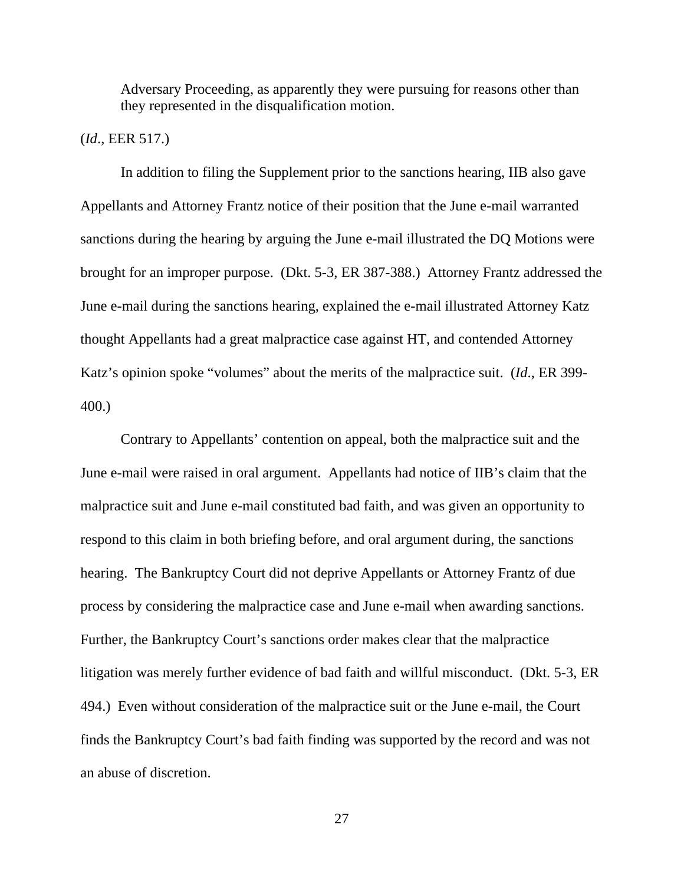Adversary Proceeding, as apparently they were pursuing for reasons other than they represented in the disqualification motion.

#### (*Id*., EER 517.)

 In addition to filing the Supplement prior to the sanctions hearing, IIB also gave Appellants and Attorney Frantz notice of their position that the June e-mail warranted sanctions during the hearing by arguing the June e-mail illustrated the DQ Motions were brought for an improper purpose. (Dkt. 5-3, ER 387-388.) Attorney Frantz addressed the June e-mail during the sanctions hearing, explained the e-mail illustrated Attorney Katz thought Appellants had a great malpractice case against HT, and contended Attorney Katz's opinion spoke "volumes" about the merits of the malpractice suit. (*Id*., ER 399- 400.)

Contrary to Appellants' contention on appeal, both the malpractice suit and the June e-mail were raised in oral argument. Appellants had notice of IIB's claim that the malpractice suit and June e-mail constituted bad faith, and was given an opportunity to respond to this claim in both briefing before, and oral argument during, the sanctions hearing. The Bankruptcy Court did not deprive Appellants or Attorney Frantz of due process by considering the malpractice case and June e-mail when awarding sanctions. Further, the Bankruptcy Court's sanctions order makes clear that the malpractice litigation was merely further evidence of bad faith and willful misconduct. (Dkt. 5-3, ER 494.) Even without consideration of the malpractice suit or the June e-mail, the Court finds the Bankruptcy Court's bad faith finding was supported by the record and was not an abuse of discretion.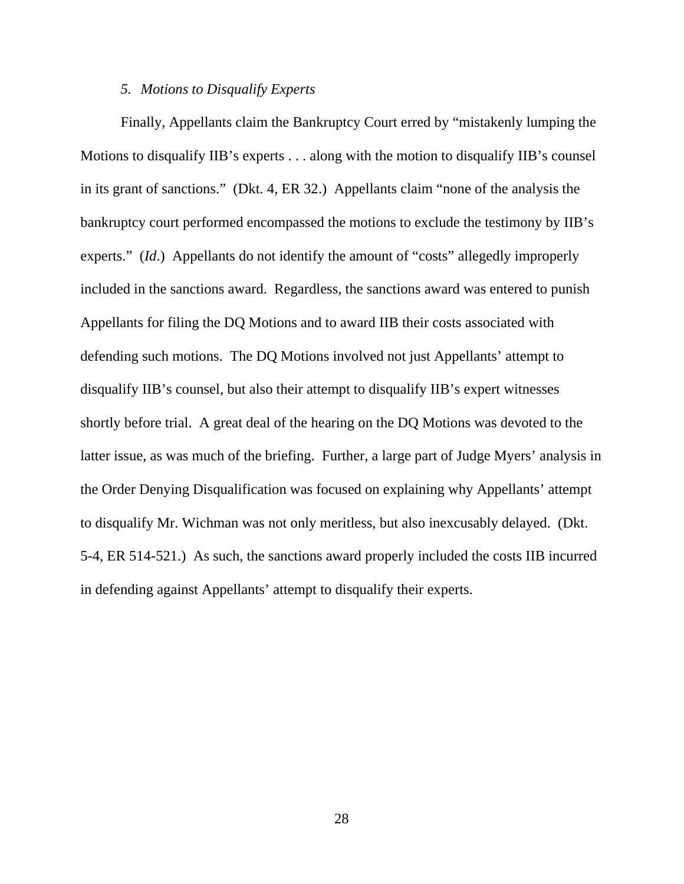#### *5. Motions to Disqualify Experts*

Finally, Appellants claim the Bankruptcy Court erred by "mistakenly lumping the Motions to disqualify IIB's experts . . . along with the motion to disqualify IIB's counsel in its grant of sanctions." (Dkt. 4, ER 32.) Appellants claim "none of the analysis the bankruptcy court performed encompassed the motions to exclude the testimony by IIB's experts." *(Id.)* Appellants do not identify the amount of "costs" allegedly improperly included in the sanctions award. Regardless, the sanctions award was entered to punish Appellants for filing the DQ Motions and to award IIB their costs associated with defending such motions. The DQ Motions involved not just Appellants' attempt to disqualify IIB's counsel, but also their attempt to disqualify IIB's expert witnesses shortly before trial. A great deal of the hearing on the DQ Motions was devoted to the latter issue, as was much of the briefing. Further, a large part of Judge Myers' analysis in the Order Denying Disqualification was focused on explaining why Appellants' attempt to disqualify Mr. Wichman was not only meritless, but also inexcusably delayed. (Dkt. 5-4, ER 514-521.) As such, the sanctions award properly included the costs IIB incurred in defending against Appellants' attempt to disqualify their experts.